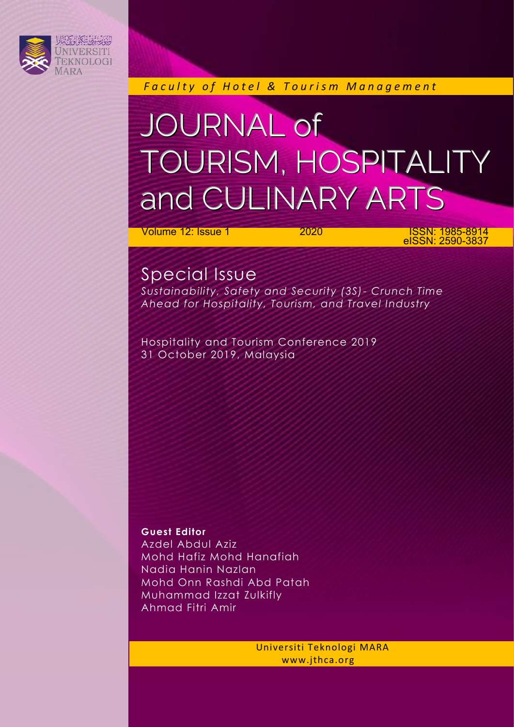

*Faculty of Hotel & Tourism Management* 

## JOURNAL of TOURISM, HOSPITALITY and CULINARY ARTS

**Volume 12: Issue 1 2020 ISSN: 1985-8914** eISSN: 2590-3837

### Special Issue

*Sustainability, Safety and Security (3S)- Crunch Time Ahead for Hospitality, Tourism, and Travel Industry*

Hospitality and Tourism Conference 2019 31 October 2019, Malaysia

**Guest Editor** Azdel Abdul Aziz Mohd Hafiz Mohd Hanafiah Nadia Hanin Nazlan Mohd Onn Rashdi Abd Patah Muhammad Izzat Zulkifly Ahmad Fitri Amir

> Universiti Teknologi MARA www.jthca.org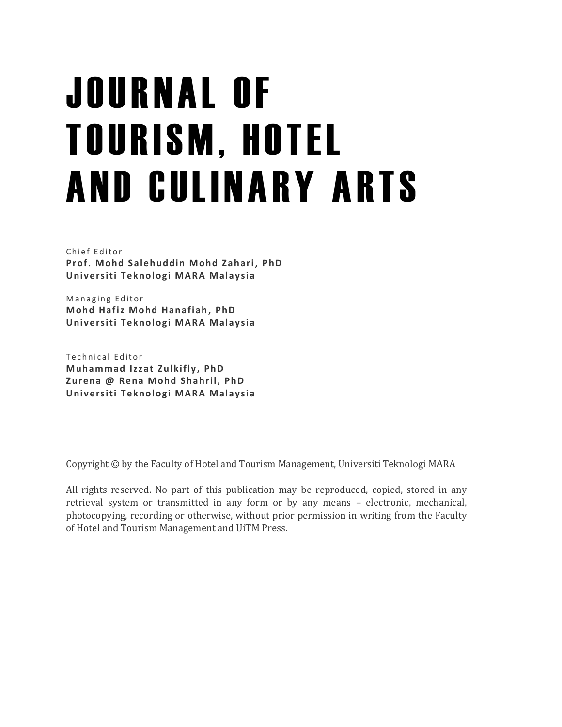# J O U R N A L O F **TOURISM, HOTEL** AND CULINARY ARTS

Chief Editor **Prof. Mohd Salehuddin Mohd Zahari, PhD Univ ersiti T eknologi MARA Malaysia**

Managing Editor **Mohd Hafiz Mohd Hanafiah, PhD Univ ersiti T eknologi MARA Malaysia**

Technical Editor **Muhammad Izzat Zulkifly, PhD Zurena @ Rena Mohd Shahril, PhD Univ ersiti T eknologi MARA Malaysia**

Copyright © by the Faculty of Hotel and Tourism Management, Universiti Teknologi MARA

All rights reserved. No part of this publication may be reproduced, copied, stored in any retrieval system or transmitted in any form or by any means – electronic, mechanical, photocopying, recording or otherwise, without prior permission in writing from the Faculty of Hotel and Tourism Management and UiTM Press.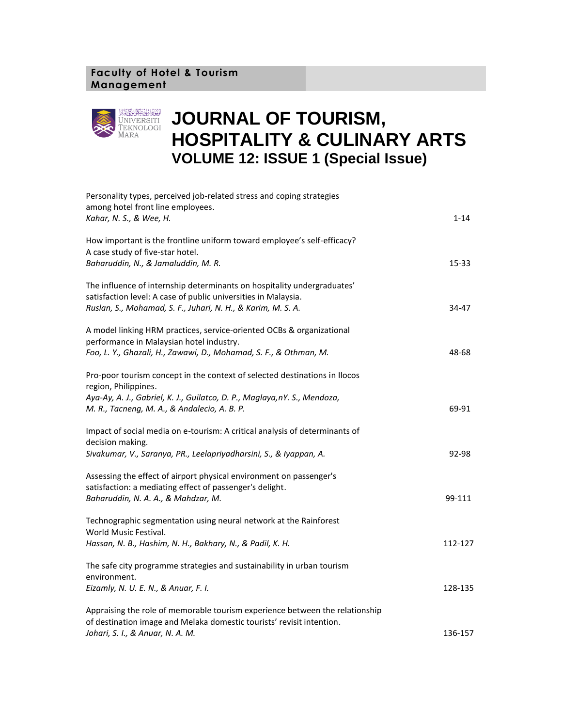#### **Faculty of Hotel & Tourism Management**



## **JOURNAL OF TOURISM, HOSPITALITY & CULINARY ARTS VOLUME 12: ISSUE 1 (Special Issue)**

| Personality types, perceived job-related stress and coping strategies<br>among hotel front line employees.                                            |          |
|-------------------------------------------------------------------------------------------------------------------------------------------------------|----------|
| Kahar, N. S., & Wee, H.                                                                                                                               | $1 - 14$ |
| How important is the frontline uniform toward employee's self-efficacy?<br>A case study of five-star hotel.                                           |          |
| Baharuddin, N., & Jamaluddin, M. R.                                                                                                                   | 15-33    |
| The influence of internship determinants on hospitality undergraduates'<br>satisfaction level: A case of public universities in Malaysia.             |          |
| Ruslan, S., Mohamad, S. F., Juhari, N. H., & Karim, M. S. A.                                                                                          | 34-47    |
| A model linking HRM practices, service-oriented OCBs & organizational<br>performance in Malaysian hotel industry.                                     |          |
| Foo, L. Y., Ghazali, H., Zawawi, D., Mohamad, S. F., & Othman, M.                                                                                     | 48-68    |
| Pro-poor tourism concept in the context of selected destinations in Ilocos<br>region, Philippines.                                                    |          |
| Aya-Ay, A. J., Gabriel, K. J., Guilatco, D. P., Maglaya,nY. S., Mendoza,<br>M. R., Tacneng, M. A., & Andalecio, A. B. P.                              | 69-91    |
| Impact of social media on e-tourism: A critical analysis of determinants of<br>decision making.                                                       |          |
| Sivakumar, V., Saranya, PR., Leelapriyadharsini, S., & Iyappan, A.                                                                                    | 92-98    |
| Assessing the effect of airport physical environment on passenger's<br>satisfaction: a mediating effect of passenger's delight.                       |          |
| Baharuddin, N. A. A., & Mahdzar, M.                                                                                                                   | 99-111   |
| Technographic segmentation using neural network at the Rainforest<br>World Music Festival.                                                            |          |
| Hassan, N. B., Hashim, N. H., Bakhary, N., & Padil, K. H.                                                                                             | 112-127  |
| The safe city programme strategies and sustainability in urban tourism<br>environment.                                                                |          |
| Eizamly, N. U. E. N., & Anuar, F. I.                                                                                                                  | 128-135  |
| Appraising the role of memorable tourism experience between the relationship<br>of destination image and Melaka domestic tourists' revisit intention. |          |
| Johari, S. I., & Anuar, N. A. M.                                                                                                                      | 136-157  |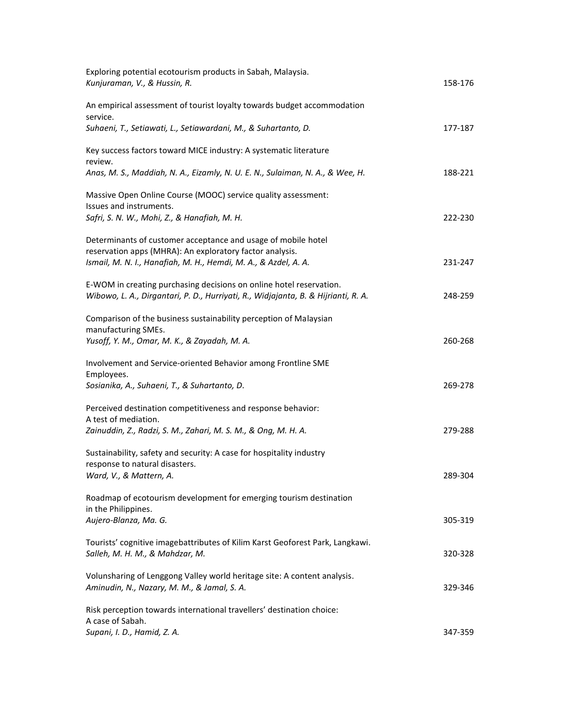| Exploring potential ecotourism products in Sabah, Malaysia.<br>Kunjuraman, V., & Hussin, R.                                                               | 158-176 |
|-----------------------------------------------------------------------------------------------------------------------------------------------------------|---------|
| An empirical assessment of tourist loyalty towards budget accommodation<br>service.                                                                       |         |
| Suhaeni, T., Setiawati, L., Setiawardani, M., & Suhartanto, D.                                                                                            | 177-187 |
| Key success factors toward MICE industry: A systematic literature<br>review.                                                                              |         |
| Anas, M. S., Maddiah, N. A., Eizamly, N. U. E. N., Sulaiman, N. A., & Wee, H.                                                                             | 188-221 |
| Massive Open Online Course (MOOC) service quality assessment:<br>Issues and instruments.                                                                  |         |
| Safri, S. N. W., Mohi, Z., & Hanafiah, M. H.                                                                                                              | 222-230 |
| Determinants of customer acceptance and usage of mobile hotel<br>reservation apps (MHRA): An exploratory factor analysis.                                 |         |
| Ismail, M. N. I., Hanafiah, M. H., Hemdi, M. A., & Azdel, A. A.                                                                                           | 231-247 |
| E-WOM in creating purchasing decisions on online hotel reservation.<br>Wibowo, L. A., Dirgantari, P. D., Hurriyati, R., Widjajanta, B. & Hijrianti, R. A. | 248-259 |
| Comparison of the business sustainability perception of Malaysian<br>manufacturing SMEs.                                                                  |         |
| Yusoff, Y. M., Omar, M. K., & Zayadah, M. A.                                                                                                              | 260-268 |
| Involvement and Service-oriented Behavior among Frontline SME<br>Employees.                                                                               |         |
| Sosianika, A., Suhaeni, T., & Suhartanto, D.                                                                                                              | 269-278 |
| Perceived destination competitiveness and response behavior:<br>A test of mediation.                                                                      |         |
| Zainuddin, Z., Radzi, S. M., Zahari, M. S. M., & Ong, M. H. A.                                                                                            | 279-288 |
| Sustainability, safety and security: A case for hospitality industry<br>response to natural disasters.                                                    |         |
| Ward, V., & Mattern, A.                                                                                                                                   | 289-304 |
| Roadmap of ecotourism development for emerging tourism destination<br>in the Philippines.                                                                 |         |
| Aujero-Blanza, Ma. G.                                                                                                                                     | 305-319 |
| Tourists' cognitive imagebattributes of Kilim Karst Geoforest Park, Langkawi.<br>Salleh, M. H. M., & Mahdzar, M.                                          | 320-328 |
| Volunsharing of Lenggong Valley world heritage site: A content analysis.<br>Aminudin, N., Nazary, M. M., & Jamal, S. A.                                   | 329-346 |
| Risk perception towards international travellers' destination choice:<br>A case of Sabah.                                                                 |         |
| Supani, I. D., Hamid, Z. A.                                                                                                                               | 347-359 |